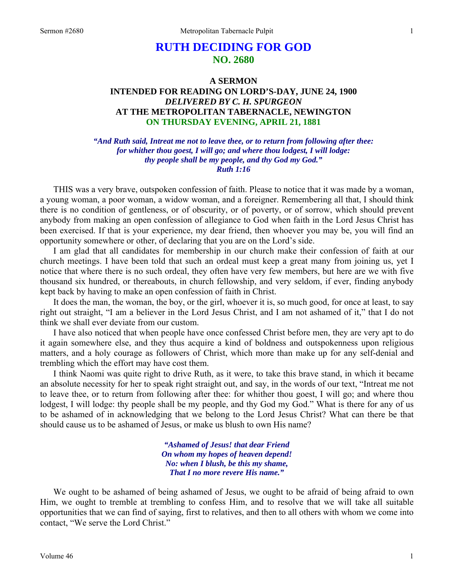# **RUTH DECIDING FOR GOD NO. 2680**

# **A SERMON INTENDED FOR READING ON LORD'S-DAY, JUNE 24, 1900**  *DELIVERED BY C. H. SPURGEON*  **AT THE METROPOLITAN TABERNACLE, NEWINGTON ON THURSDAY EVENING, APRIL 21, 1881**

*"And Ruth said, Intreat me not to leave thee, or to return from following after thee: for whither thou goest, I will go; and where thou lodgest, I will lodge: thy people shall be my people, and thy God my God." Ruth 1:16* 

THIS was a very brave, outspoken confession of faith. Please to notice that it was made by a woman, a young woman, a poor woman, a widow woman, and a foreigner. Remembering all that, I should think there is no condition of gentleness, or of obscurity, or of poverty, or of sorrow, which should prevent anybody from making an open confession of allegiance to God when faith in the Lord Jesus Christ has been exercised. If that is your experience, my dear friend, then whoever you may be, you will find an opportunity somewhere or other, of declaring that you are on the Lord's side.

I am glad that all candidates for membership in our church make their confession of faith at our church meetings. I have been told that such an ordeal must keep a great many from joining us, yet I notice that where there is no such ordeal, they often have very few members, but here are we with five thousand six hundred, or thereabouts, in church fellowship, and very seldom, if ever, finding anybody kept back by having to make an open confession of faith in Christ.

It does the man, the woman, the boy, or the girl, whoever it is, so much good, for once at least, to say right out straight, "I am a believer in the Lord Jesus Christ, and I am not ashamed of it," that I do not think we shall ever deviate from our custom.

I have also noticed that when people have once confessed Christ before men, they are very apt to do it again somewhere else, and they thus acquire a kind of boldness and outspokenness upon religious matters, and a holy courage as followers of Christ, which more than make up for any self-denial and trembling which the effort may have cost them.

I think Naomi was quite right to drive Ruth, as it were, to take this brave stand, in which it became an absolute necessity for her to speak right straight out, and say, in the words of our text, "Intreat me not to leave thee, or to return from following after thee: for whither thou goest, I will go; and where thou lodgest, I will lodge: thy people shall be my people, and thy God my God." What is there for any of us to be ashamed of in acknowledging that we belong to the Lord Jesus Christ? What can there be that should cause us to be ashamed of Jesus, or make us blush to own His name?

> *"Ashamed of Jesus! that dear Friend On whom my hopes of heaven depend! No: when I blush, be this my shame, That I no more revere His name."*

We ought to be ashamed of being ashamed of Jesus, we ought to be afraid of being afraid to own Him, we ought to tremble at trembling to confess Him, and to resolve that we will take all suitable opportunities that we can find of saying, first to relatives, and then to all others with whom we come into contact, "We serve the Lord Christ."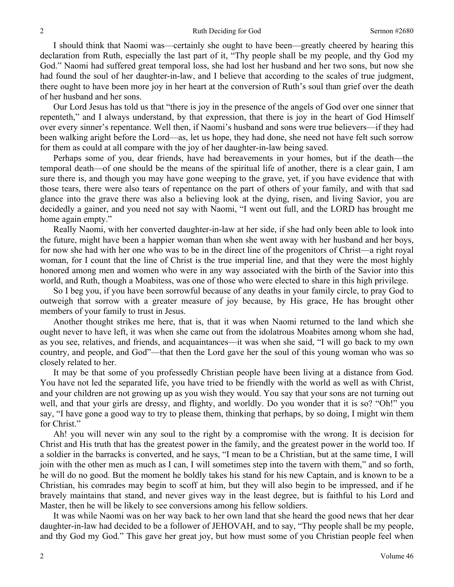I should think that Naomi was—certainly she ought to have been—greatly cheered by hearing this declaration from Ruth, especially the last part of it, "Thy people shall be my people, and thy God my God." Naomi had suffered great temporal loss, she had lost her husband and her two sons, but now she had found the soul of her daughter-in-law, and I believe that according to the scales of true judgment, there ought to have been more joy in her heart at the conversion of Ruth's soul than grief over the death of her husband and her sons.

Our Lord Jesus has told us that "there is joy in the presence of the angels of God over one sinner that repenteth," and I always understand, by that expression, that there is joy in the heart of God Himself over every sinner's repentance. Well then, if Naomi's husband and sons were true believers—if they had been walking aright before the Lord—as, let us hope, they had done, she need not have felt such sorrow for them as could at all compare with the joy of her daughter-in-law being saved.

Perhaps some of you, dear friends, have had bereavements in your homes, but if the death—the temporal death—of one should be the means of the spiritual life of another, there is a clear gain, I am sure there is, and though you may have gone weeping to the grave, yet, if you have evidence that with those tears, there were also tears of repentance on the part of others of your family, and with that sad glance into the grave there was also a believing look at the dying, risen, and living Savior, you are decidedly a gainer, and you need not say with Naomi, "I went out full, and the LORD has brought me home again empty."

Really Naomi, with her converted daughter-in-law at her side, if she had only been able to look into the future, might have been a happier woman than when she went away with her husband and her boys, for now she had with her one who was to be in the direct line of the progenitors of Christ—a right royal woman, for I count that the line of Christ is the true imperial line, and that they were the most highly honored among men and women who were in any way associated with the birth of the Savior into this world, and Ruth, though a Moabitess, was one of those who were elected to share in this high privilege.

So I beg you, if you have been sorrowful because of any deaths in your family circle, to pray God to outweigh that sorrow with a greater measure of joy because, by His grace, He has brought other members of your family to trust in Jesus.

Another thought strikes me here, that is, that it was when Naomi returned to the land which she ought never to have left, it was when she came out from the idolatrous Moabites among whom she had, as you see, relatives, and friends, and acquaintances—it was when she said, "I will go back to my own country, and people, and God"—that then the Lord gave her the soul of this young woman who was so closely related to her.

It may be that some of you professedly Christian people have been living at a distance from God. You have not led the separated life, you have tried to be friendly with the world as well as with Christ, and your children are not growing up as you wish they would. You say that your sons are not turning out well, and that your girls are dressy, and flighty, and worldly. Do you wonder that it is so? "Oh!" you say, "I have gone a good way to try to please them, thinking that perhaps, by so doing, I might win them for Christ."

Ah! you will never win any soul to the right by a compromise with the wrong. It is decision for Christ and His truth that has the greatest power in the family, and the greatest power in the world too. If a soldier in the barracks is converted, and he says, "I mean to be a Christian, but at the same time, I will join with the other men as much as I can, I will sometimes step into the tavern with them," and so forth, he will do no good. But the moment he boldly takes his stand for his new Captain, and is known to be a Christian, his comrades may begin to scoff at him, but they will also begin to be impressed, and if he bravely maintains that stand, and never gives way in the least degree, but is faithful to his Lord and Master, then he will be likely to see conversions among his fellow soldiers.

It was while Naomi was on her way back to her own land that she heard the good news that her dear daughter-in-law had decided to be a follower of JEHOVAH, and to say, "Thy people shall be my people, and thy God my God." This gave her great joy, but how must some of you Christian people feel when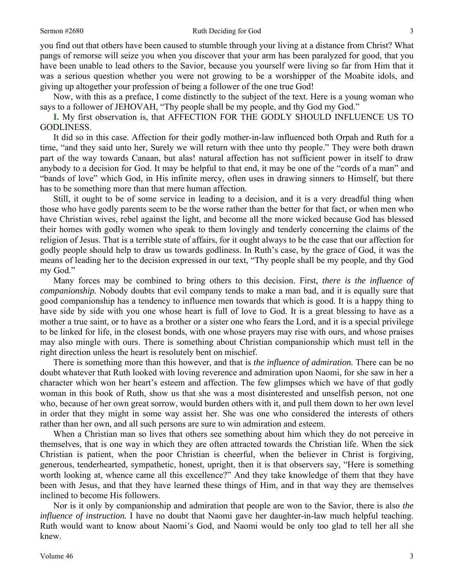you find out that others have been caused to stumble through your living at a distance from Christ? What pangs of remorse will seize you when you discover that your arm has been paralyzed for good, that you have been unable to lead others to the Savior, because you yourself were living so far from Him that it was a serious question whether you were not growing to be a worshipper of the Moabite idols, and giving up altogether your profession of being a follower of the one true God!

Now, with this as a preface, I come distinctly to the subject of the text. Here is a young woman who says to a follower of JEHOVAH, "Thy people shall be my people, and thy God my God."

**I.** My first observation is, that AFFECTION FOR THE GODLY SHOULD INFLUENCE US TO GODLINESS.

It did so in this case. Affection for their godly mother-in-law influenced both Orpah and Ruth for a time, "and they said unto her, Surely we will return with thee unto thy people." They were both drawn part of the way towards Canaan, but alas! natural affection has not sufficient power in itself to draw anybody to a decision for God. It may be helpful to that end, it may be one of the "cords of a man" and "bands of love" which God, in His infinite mercy, often uses in drawing sinners to Himself, but there has to be something more than that mere human affection.

Still, it ought to be of some service in leading to a decision, and it is a very dreadful thing when those who have godly parents seem to be the worse rather than the better for that fact, or when men who have Christian wives, rebel against the light, and become all the more wicked because God has blessed their homes with godly women who speak to them lovingly and tenderly concerning the claims of the religion of Jesus. That is a terrible state of affairs, for it ought always to be the case that our affection for godly people should help to draw us towards godliness. In Ruth's case, by the grace of God, it was the means of leading her to the decision expressed in our text, "Thy people shall be my people, and thy God my God."

Many forces may be combined to bring others to this decision. First, *there is the influence of companionship.* Nobody doubts that evil company tends to make a man bad, and it is equally sure that good companionship has a tendency to influence men towards that which is good. It is a happy thing to have side by side with you one whose heart is full of love to God. It is a great blessing to have as a mother a true saint, or to have as a brother or a sister one who fears the Lord, and it is a special privilege to be linked for life, in the closest bonds, with one whose prayers may rise with ours, and whose praises may also mingle with ours. There is something about Christian companionship which must tell in the right direction unless the heart is resolutely bent on mischief.

There is something more than this however, and that is *the influence of admiration.* There can be no doubt whatever that Ruth looked with loving reverence and admiration upon Naomi, for she saw in her a character which won her heart's esteem and affection. The few glimpses which we have of that godly woman in this book of Ruth, show us that she was a most disinterested and unselfish person, not one who, because of her own great sorrow, would burden others with it, and pull them down to her own level in order that they might in some way assist her. She was one who considered the interests of others rather than her own, and all such persons are sure to win admiration and esteem.

When a Christian man so lives that others see something about him which they do not perceive in themselves, that is one way in which they are often attracted towards the Christian life. When the sick Christian is patient, when the poor Christian is cheerful, when the believer in Christ is forgiving, generous, tenderhearted, sympathetic, honest, upright, then it is that observers say, "Here is something worth looking at, whence came all this excellence?" And they take knowledge of them that they have been with Jesus, and that they have learned these things of Him, and in that way they are themselves inclined to become His followers.

Nor is it only by companionship and admiration that people are won to the Savior, there is also *the influence of instruction.* I have no doubt that Naomi gave her daughter-in-law much helpful teaching. Ruth would want to know about Naomi's God, and Naomi would be only too glad to tell her all she knew.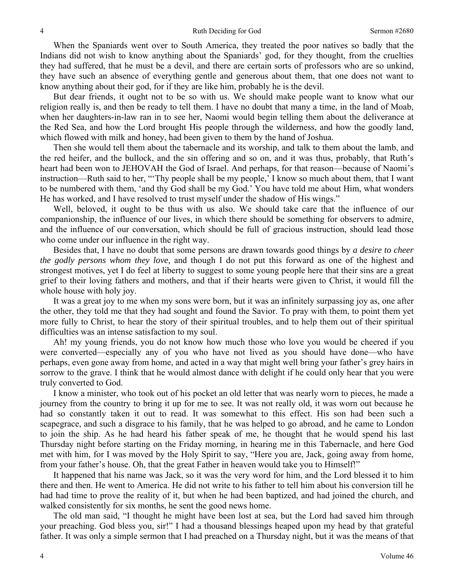When the Spaniards went over to South America, they treated the poor natives so badly that the Indians did not wish to know anything about the Spaniards' god, for they thought, from the cruelties they had suffered, that he must be a devil, and there are certain sorts of professors who are so unkind, they have such an absence of everything gentle and generous about them, that one does not want to know anything about their god, for if they are like him, probably he is the devil.

But dear friends, it ought not to be so with us. We should make people want to know what our religion really is, and then be ready to tell them. I have no doubt that many a time, in the land of Moab, when her daughters-in-law ran in to see her, Naomi would begin telling them about the deliverance at the Red Sea, and how the Lord brought His people through the wilderness, and how the goodly land, which flowed with milk and honey, had been given to them by the hand of Joshua.

Then she would tell them about the tabernacle and its worship, and talk to them about the lamb, and the red heifer, and the bullock, and the sin offering and so on, and it was thus, probably, that Ruth's heart had been won to JEHOVAH the God of Israel. And perhaps, for that reason—because of Naomi's instruction—Ruth said to her, "'Thy people shall be my people,' I know so much about them, that I want to be numbered with them, 'and thy God shall be my God.' You have told me about Him, what wonders He has worked, and I have resolved to trust myself under the shadow of His wings."

Well, beloved, it ought to be thus with us also. We should take care that the influence of our companionship, the influence of our lives, in which there should be something for observers to admire, and the influence of our conversation, which should be full of gracious instruction, should lead those who come under our influence in the right way.

Besides that, I have no doubt that some persons are drawn towards good things by *a desire to cheer the godly persons whom they love,* and though I do not put this forward as one of the highest and strongest motives, yet I do feel at liberty to suggest to some young people here that their sins are a great grief to their loving fathers and mothers, and that if their hearts were given to Christ, it would fill the whole house with holy joy.

It was a great joy to me when my sons were born, but it was an infinitely surpassing joy as, one after the other, they told me that they had sought and found the Savior. To pray with them, to point them yet more fully to Christ, to hear the story of their spiritual troubles, and to help them out of their spiritual difficulties was an intense satisfaction to my soul.

Ah! my young friends, you do not know how much those who love you would be cheered if you were converted—especially any of you who have not lived as you should have done—who have perhaps, even gone away from home, and acted in a way that might well bring your father's grey hairs in sorrow to the grave. I think that he would almost dance with delight if he could only hear that you were truly converted to God.

I know a minister, who took out of his pocket an old letter that was nearly worn to pieces, he made a journey from the country to bring it up for me to see. It was not really old, it was worn out because he had so constantly taken it out to read. It was somewhat to this effect. His son had been such a scapegrace, and such a disgrace to his family, that he was helped to go abroad, and he came to London to join the ship. As he had heard his father speak of me, he thought that he would spend his last Thursday night before starting on the Friday morning, in hearing me in this Tabernacle, and here God met with him, for I was moved by the Holy Spirit to say, "Here you are, Jack, going away from home, from your father's house. Oh, that the great Father in heaven would take you to Himself!"

It happened that his name was Jack, so it was the very word for him, and the Lord blessed it to him there and then. He went to America. He did not write to his father to tell him about his conversion till he had had time to prove the reality of it, but when he had been baptized, and had joined the church, and walked consistently for six months, he sent the good news home.

The old man said, "I thought he might have been lost at sea, but the Lord had saved him through your preaching. God bless you, sir!" I had a thousand blessings heaped upon my head by that grateful father. It was only a simple sermon that I had preached on a Thursday night, but it was the means of that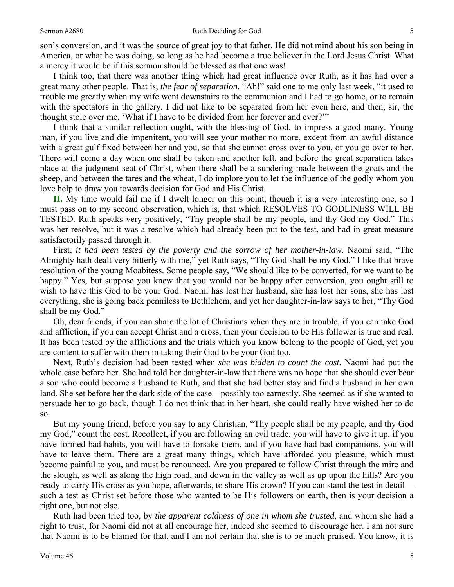son's conversion, and it was the source of great joy to that father. He did not mind about his son being in America, or what he was doing, so long as he had become a true believer in the Lord Jesus Christ. What a mercy it would be if this sermon should be blessed as that one was!

I think too, that there was another thing which had great influence over Ruth, as it has had over a great many other people. That is, *the fear of separation.* "Ah!" said one to me only last week, "it used to trouble me greatly when my wife went downstairs to the communion and I had to go home, or to remain with the spectators in the gallery. I did not like to be separated from her even here, and then, sir, the thought stole over me, 'What if I have to be divided from her forever and ever?'"

I think that a similar reflection ought, with the blessing of God, to impress a good many. Young man, if you live and die impenitent, you will see your mother no more, except from an awful distance with a great gulf fixed between her and you, so that she cannot cross over to you, or you go over to her. There will come a day when one shall be taken and another left, and before the great separation takes place at the judgment seat of Christ, when there shall be a sundering made between the goats and the sheep, and between the tares and the wheat, I do implore you to let the influence of the godly whom you love help to draw you towards decision for God and His Christ.

**II.** My time would fail me if I dwelt longer on this point, though it is a very interesting one, so I must pass on to my second observation, which is, that which RESOLVES TO GODLINESS WILL BE TESTED. Ruth speaks very positively, "Thy people shall be my people, and thy God my God." This was her resolve, but it was a resolve which had already been put to the test, and had in great measure satisfactorily passed through it.

First, *it had been tested by the poverty and the sorrow of her mother-in-law.* Naomi said, "The Almighty hath dealt very bitterly with me," yet Ruth says, "Thy God shall be my God." I like that brave resolution of the young Moabitess. Some people say, "We should like to be converted, for we want to be happy." Yes, but suppose you knew that you would not be happy after conversion, you ought still to wish to have this God to be your God. Naomi has lost her husband, she has lost her sons, she has lost everything, she is going back penniless to Bethlehem, and yet her daughter-in-law says to her, "Thy God shall be my God."

Oh, dear friends, if you can share the lot of Christians when they are in trouble, if you can take God and affliction, if you can accept Christ and a cross, then your decision to be His follower is true and real. It has been tested by the afflictions and the trials which you know belong to the people of God, yet you are content to suffer with them in taking their God to be your God too.

Next, Ruth's decision had been tested when *she was bidden to count the cost.* Naomi had put the whole case before her. She had told her daughter-in-law that there was no hope that she should ever bear a son who could become a husband to Ruth, and that she had better stay and find a husband in her own land. She set before her the dark side of the case—possibly too earnestly. She seemed as if she wanted to persuade her to go back, though I do not think that in her heart, she could really have wished her to do so.

But my young friend, before you say to any Christian, "Thy people shall be my people, and thy God my God," count the cost. Recollect, if you are following an evil trade, you will have to give it up, if you have formed bad habits, you will have to forsake them, and if you have had bad companions, you will have to leave them. There are a great many things, which have afforded you pleasure, which must become painful to you, and must be renounced. Are you prepared to follow Christ through the mire and the slough, as well as along the high road, and down in the valley as well as up upon the hills? Are you ready to carry His cross as you hope, afterwards, to share His crown? If you can stand the test in detail such a test as Christ set before those who wanted to be His followers on earth, then is your decision a right one, but not else.

Ruth had been tried too, by *the apparent coldness of one in whom she trusted,* and whom she had a right to trust, for Naomi did not at all encourage her, indeed she seemed to discourage her. I am not sure that Naomi is to be blamed for that, and I am not certain that she is to be much praised. You know, it is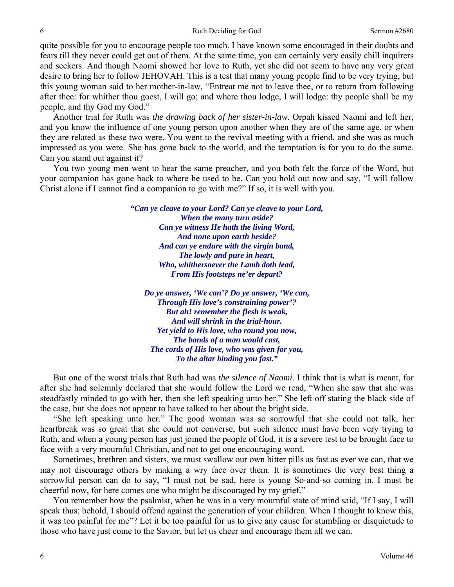quite possible for you to encourage people too much. I have known some encouraged in their doubts and fears till they never could get out of them. At the same time, you can certainly very easily chill inquirers and seekers. And though Naomi showed her love to Ruth, yet she did not seem to have any very great desire to bring her to follow JEHOVAH. This is a test that many young people find to be very trying, but this young woman said to her mother-in-law, "Entreat me not to leave thee, or to return from following after thee: for whither thou goest, I will go; and where thou lodge, I will lodge: thy people shall be my people, and thy God my God."

Another trial for Ruth was *the drawing back of her sister-in-law.* Orpah kissed Naomi and left her, and you know the influence of one young person upon another when they are of the same age, or when they are related as these two were. You went to the revival meeting with a friend, and she was as much impressed as you were. She has gone back to the world, and the temptation is for you to do the same. Can you stand out against it?

You two young men went to hear the same preacher, and you both felt the force of the Word, but your companion has gone back to where he used to be. Can you hold out now and say, "I will follow Christ alone if I cannot find a companion to go with me?" If so, it is well with you.

> *"Can ye cleave to your Lord? Can ye cleave to your Lord, When the many turn aside? Can ye witness He hath the living Word, And none upon earth beside? And can ye endure with the virgin band, The lowly and pure in heart, Who, whithersoever the Lamb doth lead, From His footsteps ne'er depart?*

*Do ye answer, 'We can'? Do ye answer, 'We can, Through His love's constraining power'? But ah! remember the flesh is weak, And will shrink in the trial-hour. Yet yield to His love, who round you now, The bands of a man would cast, The cords of His love, who was given for you, To the altar binding you fast."* 

But one of the worst trials that Ruth had was *the silence of Naomi.* I think that is what is meant, for after she had solemnly declared that she would follow the Lord we read, "When she saw that she was steadfastly minded to go with her, then she left speaking unto her." She left off stating the black side of the case, but she does not appear to have talked to her about the bright side.

"She left speaking unto her." The good woman was so sorrowful that she could not talk, her heartbreak was so great that she could not converse, but such silence must have been very trying to Ruth, and when a young person has just joined the people of God, it is a severe test to be brought face to face with a very mournful Christian, and not to get one encouraging word.

Sometimes, brethren and sisters, we must swallow our own bitter pills as fast as ever we can, that we may not discourage others by making a wry face over them. It is sometimes the very best thing a sorrowful person can do to say, "I must not be sad, here is young So-and-so coming in. I must be cheerful now, for here comes one who might be discouraged by my grief."

You remember how the psalmist, when he was in a very mournful state of mind said, "If I say, I will speak thus; behold, I should offend against the generation of your children. When I thought to know this, it was too painful for me"? Let it be too painful for us to give any cause for stumbling or disquietude to those who have just come to the Savior, but let us cheer and encourage them all we can.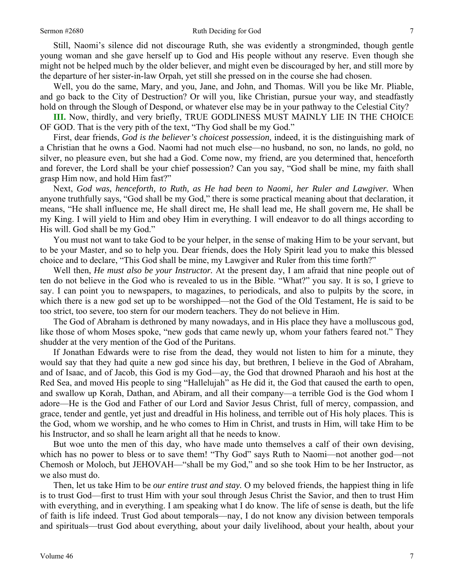#### Sermon #2680 **Ruth Deciding for God** 7

Still, Naomi's silence did not discourage Ruth, she was evidently a strongminded, though gentle young woman and she gave herself up to God and His people without any reserve. Even though she might not be helped much by the older believer, and might even be discouraged by her, and still more by the departure of her sister-in-law Orpah, yet still she pressed on in the course she had chosen.

Well, you do the same, Mary, and you, Jane, and John, and Thomas. Will you be like Mr. Pliable, and go back to the City of Destruction? Or will you, like Christian, pursue your way, and steadfastly hold on through the Slough of Despond, or whatever else may be in your pathway to the Celestial City?

**III.** Now, thirdly, and very briefly, TRUE GODLINESS MUST MAINLY LIE IN THE CHOICE OF GOD. That is the very pith of the text, "Thy God shall be my God."

First, dear friends, *God is the believer's choicest possession,* indeed, it is the distinguishing mark of a Christian that he owns a God. Naomi had not much else—no husband, no son, no lands, no gold, no silver, no pleasure even, but she had a God. Come now, my friend, are you determined that, henceforth and forever, the Lord shall be your chief possession? Can you say, "God shall be mine, my faith shall grasp Him now, and hold Him fast?"

Next, *God was, henceforth, to Ruth, as He had been to Naomi, her Ruler and Lawgiver.* When anyone truthfully says, "God shall be my God," there is some practical meaning about that declaration, it means, "He shall influence me, He shall direct me, He shall lead me, He shall govern me, He shall be my King. I will yield to Him and obey Him in everything. I will endeavor to do all things according to His will. God shall be my God."

You must not want to take God to be your helper, in the sense of making Him to be your servant, but to be your Master, and so to help you. Dear friends, does the Holy Spirit lead you to make this blessed choice and to declare, "This God shall be mine, my Lawgiver and Ruler from this time forth?"

Well then, *He must also be your Instructor.* At the present day, I am afraid that nine people out of ten do not believe in the God who is revealed to us in the Bible. "What?" you say. It is so, I grieve to say. I can point you to newspapers, to magazines, to periodicals, and also to pulpits by the score, in which there is a new god set up to be worshipped—not the God of the Old Testament, He is said to be too strict, too severe, too stern for our modern teachers. They do not believe in Him.

The God of Abraham is dethroned by many nowadays, and in His place they have a molluscous god, like those of whom Moses spoke, "new gods that came newly up, whom your fathers feared not." They shudder at the very mention of the God of the Puritans.

If Jonathan Edwards were to rise from the dead, they would not listen to him for a minute, they would say that they had quite a new god since his day, but brethren, I believe in the God of Abraham, and of Isaac, and of Jacob, this God is my God—ay, the God that drowned Pharaoh and his host at the Red Sea, and moved His people to sing "Hallelujah" as He did it, the God that caused the earth to open, and swallow up Korah, Dathan, and Abiram, and all their company—a terrible God is the God whom I adore—He is the God and Father of our Lord and Savior Jesus Christ, full of mercy, compassion, and grace, tender and gentle, yet just and dreadful in His holiness, and terrible out of His holy places. This is the God, whom we worship, and he who comes to Him in Christ, and trusts in Him, will take Him to be his Instructor, and so shall he learn aright all that he needs to know.

But woe unto the men of this day, who have made unto themselves a calf of their own devising, which has no power to bless or to save them! "Thy God" says Ruth to Naomi—not another god—not Chemosh or Moloch, but JEHOVAH—"shall be my God," and so she took Him to be her Instructor, as we also must do.

Then, let us take Him to be *our entire trust and stay.* O my beloved friends, the happiest thing in life is to trust God—first to trust Him with your soul through Jesus Christ the Savior, and then to trust Him with everything, and in everything. I am speaking what I do know. The life of sense is death, but the life of faith is life indeed. Trust God about temporals—nay, I do not know any division between temporals and spirituals—trust God about everything, about your daily livelihood, about your health, about your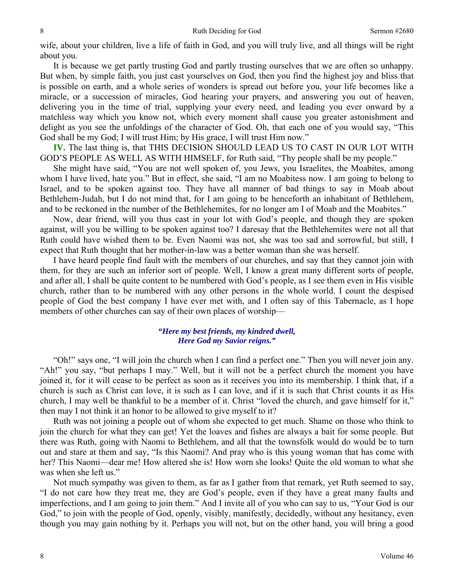wife, about your children, live a life of faith in God, and you will truly live, and all things will be right about you.

It is because we get partly trusting God and partly trusting ourselves that we are often so unhappy. But when, by simple faith, you just cast yourselves on God, then you find the highest joy and bliss that is possible on earth, and a whole series of wonders is spread out before you, your life becomes like a miracle, or a succession of miracles, God hearing your prayers, and answering you out of heaven, delivering you in the time of trial, supplying your every need, and leading you ever onward by a matchless way which you know not, which every moment shall cause you greater astonishment and delight as you see the unfoldings of the character of God. Oh, that each one of you would say, "This God shall be my God; I will trust Him; by His grace, I will trust Him now."

**IV.** The last thing is, that THIS DECISION SHOULD LEAD US TO CAST IN OUR LOT WITH GOD'S PEOPLE AS WELL AS WITH HIMSELF, for Ruth said, "Thy people shall be my people."

She might have said, "You are not well spoken of, you Jews, you Israelites, the Moabites, among whom I have lived, hate you." But in effect, she said, "I am no Moabitess now. I am going to belong to Israel, and to be spoken against too. They have all manner of bad things to say in Moab about Bethlehem-Judah, but I do not mind that, for I am going to be henceforth an inhabitant of Bethlehem, and to be reckoned in the number of the Bethlehemites, for no longer am I of Moab and the Moabites."

Now, dear friend, will you thus cast in your lot with God's people, and though they are spoken against, will you be willing to be spoken against too? I daresay that the Bethlehemites were not all that Ruth could have wished them to be. Even Naomi was not, she was too sad and sorrowful, but still, I expect that Ruth thought that her mother-in-law was a better woman than she was herself.

I have heard people find fault with the members of our churches, and say that they cannot join with them, for they are such an inferior sort of people. Well, I know a great many different sorts of people, and after all, I shall be quite content to be numbered with God's people, as I see them even in His visible church, rather than to be numbered with any other persons in the whole world. I count the despised people of God the best company I have ever met with, and I often say of this Tabernacle, as I hope members of other churches can say of their own places of worship—

### *"Here my best friends, my kindred dwell, Here God my Savior reigns."*

"Oh!" says one, "I will join the church when I can find a perfect one." Then you will never join any. "Ah!" you say, "but perhaps I may." Well, but it will not be a perfect church the moment you have joined it, for it will cease to be perfect as soon as it receives you into its membership. I think that, if a church is such as Christ can love, it is such as I can love, and if it is such that Christ counts it as His church, I may well be thankful to be a member of it. Christ "loved the church, and gave himself for it," then may I not think it an honor to be allowed to give myself to it?

Ruth was not joining a people out of whom she expected to get much. Shame on those who think to join the church for what they can get! Yet the loaves and fishes are always a bait for some people. But there was Ruth, going with Naomi to Bethlehem, and all that the townsfolk would do would be to turn out and stare at them and say, "Is this Naomi? And pray who is this young woman that has come with her? This Naomi—dear me! How altered she is! How worn she looks! Quite the old woman to what she was when she left us."

Not much sympathy was given to them, as far as I gather from that remark, yet Ruth seemed to say, "I do not care how they treat me, they are God's people, even if they have a great many faults and imperfections, and I am going to join them." And I invite all of you who can say to us, "Your God is our God," to join with the people of God, openly, visibly, manifestly, decidedly, without any hesitancy, even though you may gain nothing by it. Perhaps you will not, but on the other hand, you will bring a good